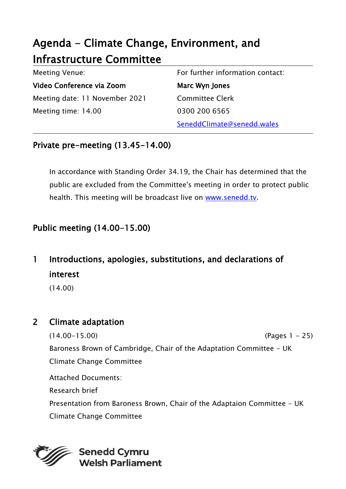# Agenda - Climate Change, Environment, and Infrastructure Committee

| Meeting Venue:                 | For further information contact: |
|--------------------------------|----------------------------------|
| Video Conference via Zoom      | Marc Wyn Jones                   |
| Meeting date: 11 November 2021 | <b>Committee Clerk</b>           |
| Meeting time: 14.00            | 0300 200 6565                    |
|                                | SeneddClimate@senedd.wales       |

#### Private pre-meeting (13.45-14.00)

In accordance with Standing Order 34.19, the Chair has determined that the public are excluded from the Committee's meeting in order to protect public health. This meeting will be broadcast live on [www.senedd.tv.](http://www.senedd.tv/)

## Public meeting (14.00-15.00)

## 1 Introductions, apologies, substitutions, and declarations of interest

(14.00)

#### 2 Climate adaptation

(14.00-15.00) (Pages 1 - 25) Baroness Brown of Cambridge, Chair of the Adaptation Committee - UK Climate Change Committee Attached Documents: Research brief Presentation from Baroness Brown, Chair of the Adaptaion Committee - UK

Climate Change Committee

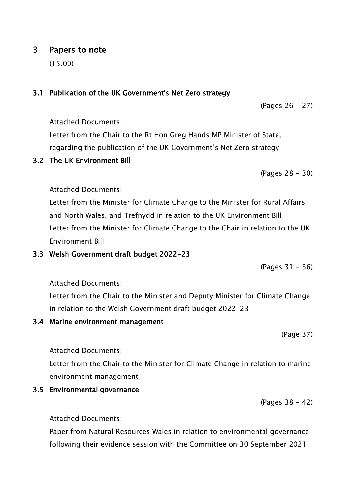## 3.1 Publication of the UK Government's Net Zero strategy

Attached Documents:

Letter from the Chair to the Rt Hon Greg Hands MP Minister of State, regarding the publication of the UK Government's Net Zero strategy

#### 3.2 The UK Environment Bill

(Pages 28 - 30)

(Pages 26 - 27)

#### Attached Documents:

Letter from the Minister for Climate Change to the Minister for Rural Affairs and North Wales, and Trefnydd in relation to the UK Environment Bill Letter from the Minister for Climate Change to the Chair in relation to the UK Environment Bill

#### 3.3 Welsh Government draft budget 2022-23

(Pages 31 - 36)

Attached Documents:

Letter from the Chair to the Minister and Deputy Minister for Climate Change in relation to the Welsh Government draft budget 2022-23

#### 3.4 Marine environment management

(Page 37)

Attached Documents:

Letter from the Chair to the Minister for Climate Change in relation to marine environment management

### 3.5 Environmental governance

(Pages 38 - 42)

Attached Documents:

Paper from Natural Resources Wales in relation to environmental governance following their evidence session with the Committee on 30 September 2021

### 3 Papers to note

(15.00)